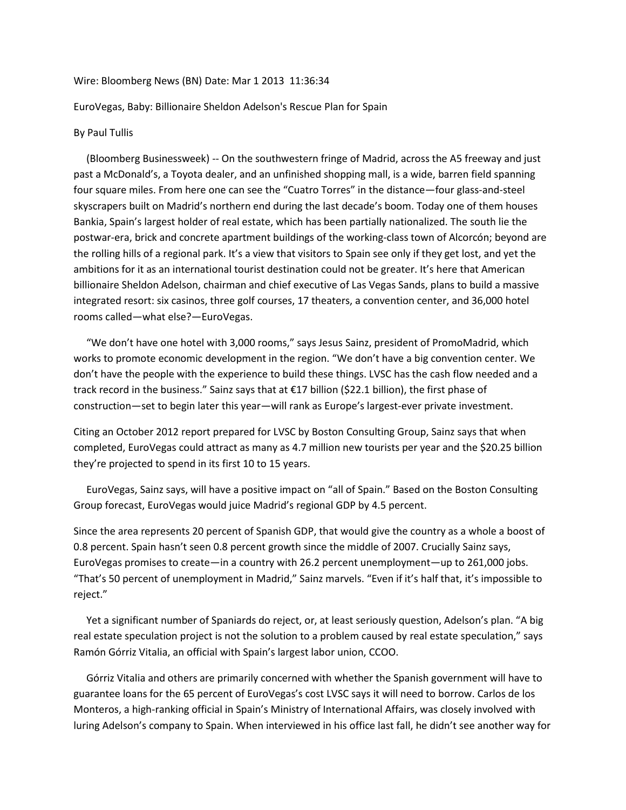## Wire: Bloomberg News (BN) Date: Mar 1 2013 11:36:34

## EuroVegas, Baby: Billionaire Sheldon Adelson's Rescue Plan for Spain

## By Paul Tullis

 (Bloomberg Businessweek) -- On the southwestern fringe of Madrid, across the A5 freeway and just past a McDonald's, a Toyota dealer, and an unfinished shopping mall, is a wide, barren field spanning four square miles. From here one can see the "Cuatro Torres" in the distance—four glass-and-steel skyscrapers built on Madrid's northern end during the last decade's boom. Today one of them houses Bankia, Spain's largest holder of real estate, which has been partially nationalized. The south lie the postwar-era, brick and concrete apartment buildings of the working-class town of Alcorcón; beyond are the rolling hills of a regional park. It's a view that visitors to Spain see only if they get lost, and yet the ambitions for it as an international tourist destination could not be greater. It's here that American billionaire Sheldon Adelson, chairman and chief executive of Las Vegas Sands, plans to build a massive integrated resort: six casinos, three golf courses, 17 theaters, a convention center, and 36,000 hotel rooms called—what else?—EuroVegas.

 "We don't have one hotel with 3,000 rooms," says Jesus Sainz, president of PromoMadrid, which works to promote economic development in the region. "We don't have a big convention center. We don't have the people with the experience to build these things. LVSC has the cash flow needed and a track record in the business." Sainz says that at €17 billion (\$22.1 billion), the first phase of construction—set to begin later this year—will rank as Europe's largest-ever private investment.

Citing an October 2012 report prepared for LVSC by Boston Consulting Group, Sainz says that when completed, EuroVegas could attract as many as 4.7 million new tourists per year and the \$20.25 billion they're projected to spend in its first 10 to 15 years.

 EuroVegas, Sainz says, will have a positive impact on "all of Spain." Based on the Boston Consulting Group forecast, EuroVegas would juice Madrid's regional GDP by 4.5 percent.

Since the area represents 20 percent of Spanish GDP, that would give the country as a whole a boost of 0.8 percent. Spain hasn't seen 0.8 percent growth since the middle of 2007. Crucially Sainz says, EuroVegas promises to create—in a country with 26.2 percent unemployment—up to 261,000 jobs. "That's 50 percent of unemployment in Madrid," Sainz marvels. "Even if it's half that, it's impossible to reject."

 Yet a significant number of Spaniards do reject, or, at least seriously question, Adelson's plan. "A big real estate speculation project is not the solution to a problem caused by real estate speculation," says Ramón Górriz Vitalia, an official with Spain's largest labor union, CCOO.

 Górriz Vitalia and others are primarily concerned with whether the Spanish government will have to guarantee loans for the 65 percent of EuroVegas's cost LVSC says it will need to borrow. Carlos de los Monteros, a high-ranking official in Spain's Ministry of International Affairs, was closely involved with luring Adelson's company to Spain. When interviewed in his office last fall, he didn't see another way for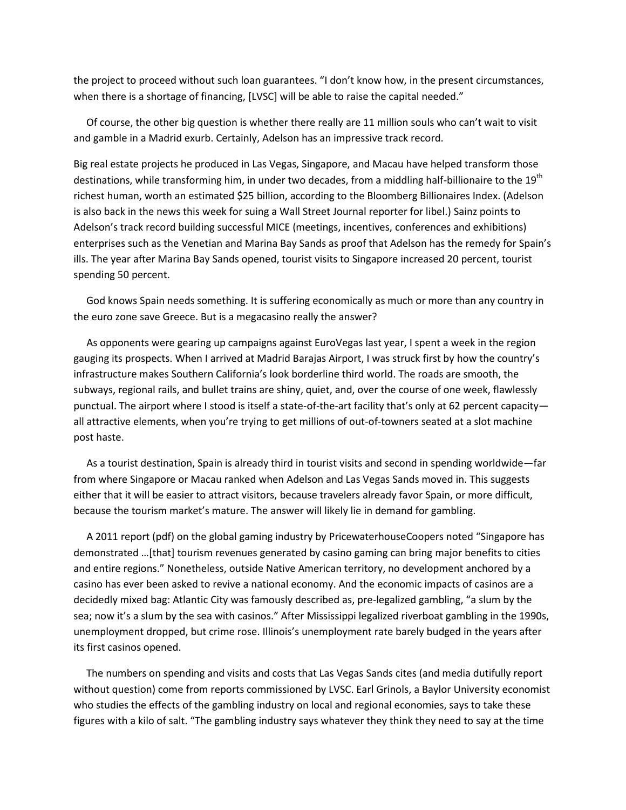the project to proceed without such loan guarantees. "I don't know how, in the present circumstances, when there is a shortage of financing, [LVSC] will be able to raise the capital needed."

 Of course, the other big question is whether there really are 11 million souls who can't wait to visit and gamble in a Madrid exurb. Certainly, Adelson has an impressive track record.

Big real estate projects he produced in Las Vegas, Singapore, and Macau have helped transform those destinations, while transforming him, in under two decades, from a middling half-billionaire to the 19<sup>th</sup> richest human, worth an estimated \$25 billion, according to the Bloomberg Billionaires Index. (Adelson is also back in the news this week for suing a Wall Street Journal reporter for libel.) Sainz points to Adelson's track record building successful MICE (meetings, incentives, conferences and exhibitions) enterprises such as the Venetian and Marina Bay Sands as proof that Adelson has the remedy for Spain's ills. The year after Marina Bay Sands opened, tourist visits to Singapore increased 20 percent, tourist spending 50 percent.

 God knows Spain needs something. It is suffering economically as much or more than any country in the euro zone save Greece. But is a megacasino really the answer?

 As opponents were gearing up campaigns against EuroVegas last year, I spent a week in the region gauging its prospects. When I arrived at Madrid Barajas Airport, I was struck first by how the country's infrastructure makes Southern California's look borderline third world. The roads are smooth, the subways, regional rails, and bullet trains are shiny, quiet, and, over the course of one week, flawlessly punctual. The airport where I stood is itself a state-of-the-art facility that's only at 62 percent capacity all attractive elements, when you're trying to get millions of out-of-towners seated at a slot machine post haste.

 As a tourist destination, Spain is already third in tourist visits and second in spending worldwide—far from where Singapore or Macau ranked when Adelson and Las Vegas Sands moved in. This suggests either that it will be easier to attract visitors, because travelers already favor Spain, or more difficult, because the tourism market's mature. The answer will likely lie in demand for gambling.

 A 2011 report (pdf) on the global gaming industry by PricewaterhouseCoopers noted "Singapore has demonstrated …[that] tourism revenues generated by casino gaming can bring major benefits to cities and entire regions." Nonetheless, outside Native American territory, no development anchored by a casino has ever been asked to revive a national economy. And the economic impacts of casinos are a decidedly mixed bag: Atlantic City was famously described as, pre-legalized gambling, "a slum by the sea; now it's a slum by the sea with casinos." After Mississippi legalized riverboat gambling in the 1990s, unemployment dropped, but crime rose. Illinois's unemployment rate barely budged in the years after its first casinos opened.

 The numbers on spending and visits and costs that Las Vegas Sands cites (and media dutifully report without question) come from reports commissioned by LVSC. Earl Grinols, a Baylor University economist who studies the effects of the gambling industry on local and regional economies, says to take these figures with a kilo of salt. "The gambling industry says whatever they think they need to say at the time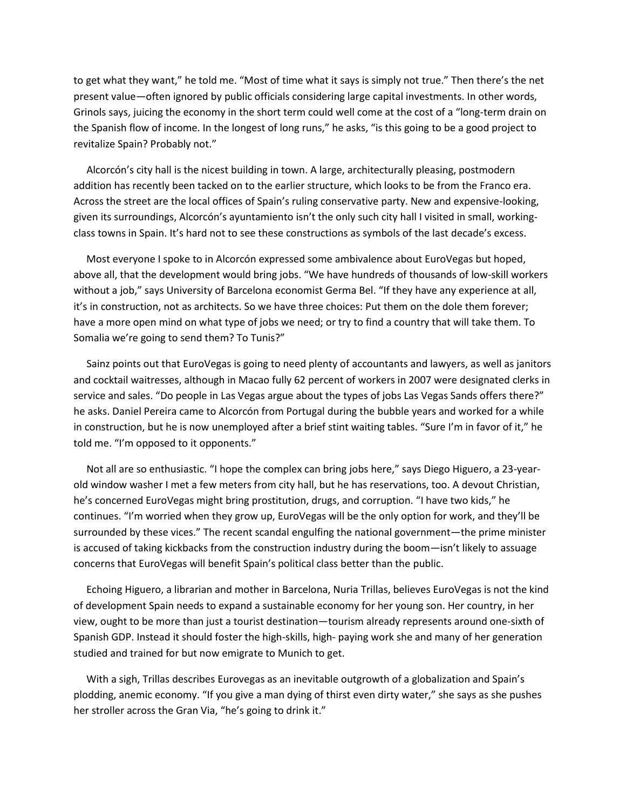to get what they want," he told me. "Most of time what it says is simply not true." Then there's the net present value—often ignored by public officials considering large capital investments. In other words, Grinols says, juicing the economy in the short term could well come at the cost of a "long-term drain on the Spanish flow of income. In the longest of long runs," he asks, "is this going to be a good project to revitalize Spain? Probably not."

 Alcorcón's city hall is the nicest building in town. A large, architecturally pleasing, postmodern addition has recently been tacked on to the earlier structure, which looks to be from the Franco era. Across the street are the local offices of Spain's ruling conservative party. New and expensive-looking, given its surroundings, Alcorcón's ayuntamiento isn't the only such city hall I visited in small, workingclass towns in Spain. It's hard not to see these constructions as symbols of the last decade's excess.

 Most everyone I spoke to in Alcorcón expressed some ambivalence about EuroVegas but hoped, above all, that the development would bring jobs. "We have hundreds of thousands of low-skill workers without a job," says University of Barcelona economist Germa Bel. "If they have any experience at all, it's in construction, not as architects. So we have three choices: Put them on the dole them forever; have a more open mind on what type of jobs we need; or try to find a country that will take them. To Somalia we're going to send them? To Tunis?"

 Sainz points out that EuroVegas is going to need plenty of accountants and lawyers, as well as janitors and cocktail waitresses, although in Macao fully 62 percent of workers in 2007 were designated clerks in service and sales. "Do people in Las Vegas argue about the types of jobs Las Vegas Sands offers there?" he asks. Daniel Pereira came to Alcorcón from Portugal during the bubble years and worked for a while in construction, but he is now unemployed after a brief stint waiting tables. "Sure I'm in favor of it," he told me. "I'm opposed to it opponents."

 Not all are so enthusiastic. "I hope the complex can bring jobs here," says Diego Higuero, a 23-yearold window washer I met a few meters from city hall, but he has reservations, too. A devout Christian, he's concerned EuroVegas might bring prostitution, drugs, and corruption. "I have two kids," he continues. "I'm worried when they grow up, EuroVegas will be the only option for work, and they'll be surrounded by these vices." The recent scandal engulfing the national government—the prime minister is accused of taking kickbacks from the construction industry during the boom—isn't likely to assuage concerns that EuroVegas will benefit Spain's political class better than the public.

 Echoing Higuero, a librarian and mother in Barcelona, Nuria Trillas, believes EuroVegas is not the kind of development Spain needs to expand a sustainable economy for her young son. Her country, in her view, ought to be more than just a tourist destination—tourism already represents around one-sixth of Spanish GDP. Instead it should foster the high-skills, high- paying work she and many of her generation studied and trained for but now emigrate to Munich to get.

 With a sigh, Trillas describes Eurovegas as an inevitable outgrowth of a globalization and Spain's plodding, anemic economy. "If you give a man dying of thirst even dirty water," she says as she pushes her stroller across the Gran Via, "he's going to drink it."